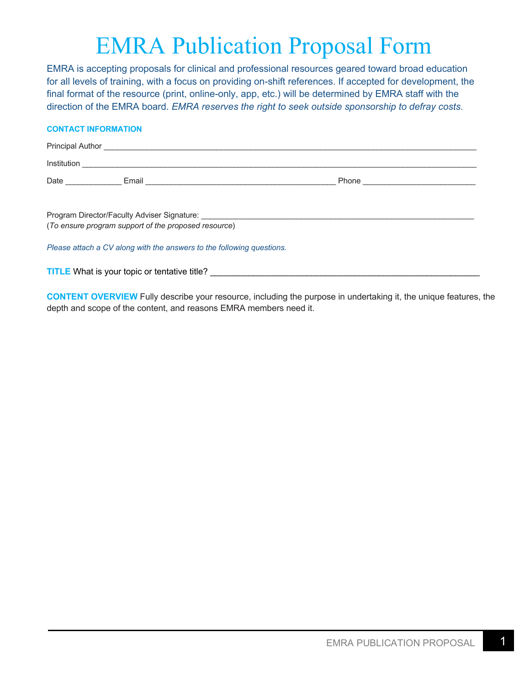## EMRA Publication Proposal Form

EMRA is accepting proposals for clinical and professional resources geared toward broad education for all levels of training, with a focus on providing on-shift references. If accepted for development, the final format of the resource (print, online-only, app, etc.) will be determined by EMRA staff with the direction of the EMRA board. *EMRA reserves the right to seek outside sponsorship to defray costs.* 

## **CONTACT INFORMATION**

| Program Director/Faculty Adviser Signature: University of the Contractor Contractor Contractor Contractor Contractor |  |  |  |
|----------------------------------------------------------------------------------------------------------------------|--|--|--|
| (To ensure program support of the proposed resource)                                                                 |  |  |  |
| Please attach a CV along with the answers to the following questions.                                                |  |  |  |

**TITLE** What is your topic or tentative title?

**CONTENT OVERVIEW** Fully describe your resource, including the purpose in undertaking it, the unique features, the depth and scope of the content, and reasons EMRA members need it.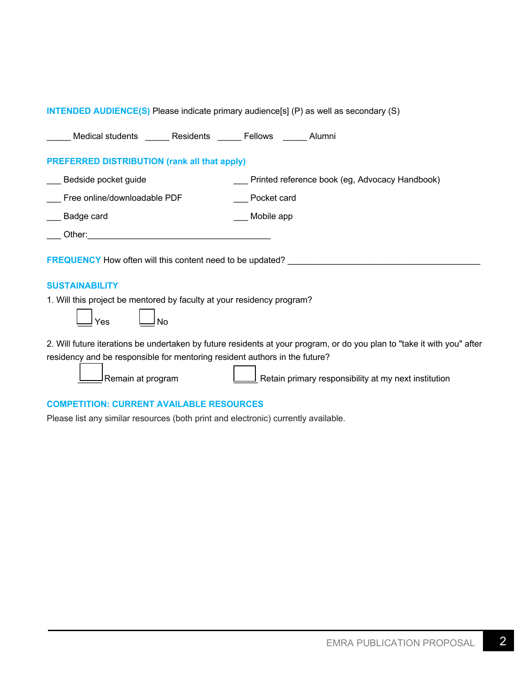| <b>INTENDED AUDIENCE(S)</b> Please indicate primary audience[s] (P) as well as secondary (S)                                                                                                                                                                                       |                                                |  |  |
|------------------------------------------------------------------------------------------------------------------------------------------------------------------------------------------------------------------------------------------------------------------------------------|------------------------------------------------|--|--|
| Medical students _______ Residents _______ Fellows ______ Alumni                                                                                                                                                                                                                   |                                                |  |  |
| <b>PREFERRED DISTRIBUTION (rank all that apply)</b>                                                                                                                                                                                                                                |                                                |  |  |
| Bedside pocket guide                                                                                                                                                                                                                                                               | Printed reference book (eg, Advocacy Handbook) |  |  |
| Free online/downloadable PDF                                                                                                                                                                                                                                                       | Pocket card                                    |  |  |
| Badge card                                                                                                                                                                                                                                                                         | Mobile app                                     |  |  |
| Other: $\qquad \qquad$<br><u> 1980 - Jan Barnett, margaret eta idazlea (h. 1980).</u>                                                                                                                                                                                              |                                                |  |  |
| <b>FREQUENCY</b> How often will this content need to be updated?                                                                                                                                                                                                                   |                                                |  |  |
| <b>SUSTAINABILITY</b>                                                                                                                                                                                                                                                              |                                                |  |  |
| 1. Will this project be mentored by faculty at your residency program?<br>No<br>Yes                                                                                                                                                                                                |                                                |  |  |
| 2. Will future iterations be undertaken by future residents at your program, or do you plan to "take it with you" after<br>residency and be responsible for mentoring resident authors in the future?<br>Retain primary responsibility at my next institution<br>Remain at program |                                                |  |  |

## **COMPETITION: CURRENT AVAILABLE RESOURCES**

Please list any similar resources (both print and electronic) currently available.